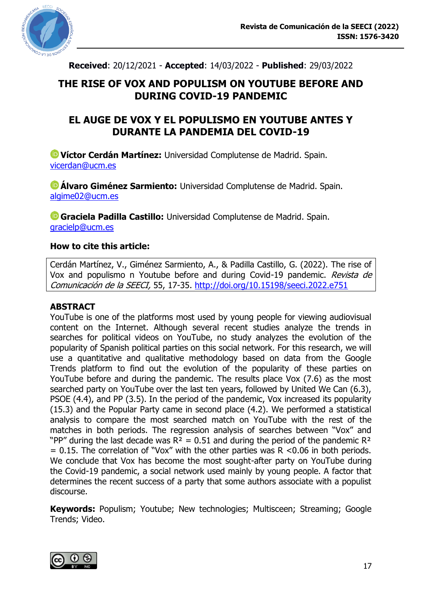

**Received**: 20/12/2021 - **Accepted**: 14/03/2022 - **Published**: 29/03/2022

## **THE RISE OF VOX AND POPULISM ON YOUTUBE BEFORE AND DURING COVID-19 PANDEMIC**

## **EL AUGE DE VOX Y EL POPULISMO EN YOUTUBE ANTES Y DURANTE LA PANDEMIA DEL COVID-19**

**Víctor Cerdán Martínez:** Universidad Complutense de Madrid. Spain. [vicerdan@ucm.es](mailto:vicerdan@ucm.es)

**Álvaro Giménez Sarmiento:** Universidad Complutense de Madrid. Spain. [algime02@ucm.es](mailto:algime02@ucm.es)

**Graciela Padilla Castillo:** Universidad Complutense de Madrid. Spain. [gracielp@ucm.es](mailto:gracielp@ucm.es)

#### **How to cite this article:**

Cerdán Martínez, V., Giménez Sarmiento, A., & Padilla Castillo, G. (2022). The rise of Vox and populismo n Youtube before and during Covid-19 pandemic. Revista de Comunicación de la SEECI, 55, 17-35.<http://doi.org/10.15198/seeci.2022.e751>

#### **ABSTRACT**

YouTube is one of the platforms most used by young people for viewing audiovisual content on the Internet. Although several recent studies analyze the trends in searches for political videos on YouTube, no study analyzes the evolution of the popularity of Spanish political parties on this social network. For this research, we will use a quantitative and qualitative methodology based on data from the Google Trends platform to find out the evolution of the popularity of these parties on YouTube before and during the pandemic. The results place Vox (7.6) as the most searched party on YouTube over the last ten years, followed by United We Can (6.3), PSOE (4.4), and PP (3.5). In the period of the pandemic, Vox increased its popularity (15.3) and the Popular Party came in second place (4.2). We performed a statistical analysis to compare the most searched match on YouTube with the rest of the matches in both periods. The regression analysis of searches between "Vox" and "PP" during the last decade was  $R^2 = 0.51$  and during the period of the pandemic  $R^2$  $= 0.15$ . The correlation of "Vox" with the other parties was R <0.06 in both periods. We conclude that Vox has become the most sought-after party on YouTube during the Covid-19 pandemic, a social network used mainly by young people. A factor that determines the recent success of a party that some authors associate with a populist discourse.

**Keywords:** Populism; Youtube; New technologies; Multisceen; Streaming; Google Trends; Video.

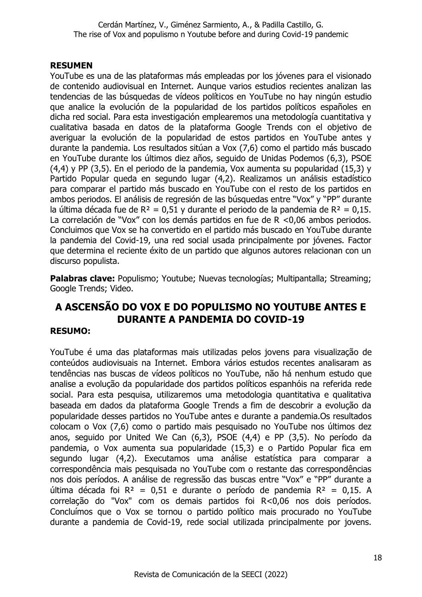## **RESUMEN**

YouTube es una de las plataformas más empleadas por los jóvenes para el visionado de contenido audiovisual en Internet. Aunque varios estudios recientes analizan las tendencias de las búsquedas de vídeos políticos en YouTube no hay ningún estudio que analice la evolución de la popularidad de los partidos políticos españoles en dicha red social. Para esta investigación emplearemos una metodología cuantitativa y cualitativa basada en datos de la plataforma Google Trends con el objetivo de averiguar la evolución de la popularidad de estos partidos en YouTube antes y durante la pandemia. Los resultados sitúan a Vox (7,6) como el partido más buscado en YouTube durante los últimos diez años, seguido de Unidas Podemos (6,3), PSOE (4,4) y PP (3,5). En el periodo de la pandemia, Vox aumenta su popularidad (15,3) y Partido Popular queda en segundo lugar (4,2). Realizamos un análisis estadístico para comparar el partido más buscado en YouTube con el resto de los partidos en ambos periodos. El análisis de regresión de las búsquedas entre "Vox" y "PP" durante la última década fue de  $R^2 = 0.51$  y durante el periodo de la pandemia de  $R^2 = 0.15$ . La correlación de "Vox" con los demás partidos en fue de R <0,06 ambos periodos. Concluimos que Vox se ha convertido en el partido más buscado en YouTube durante la pandemia del Covid-19, una red social usada principalmente por jóvenes. Factor que determina el reciente éxito de un partido que algunos autores relacionan con un discurso populista.

**Palabras clave:** Populismo; Youtube; Nuevas tecnologías; Multipantalla; Streaming; Google Trends; Video.

# **A ASCENSÃO DO VOX E DO POPULISMO NO YOUTUBE ANTES E DURANTE A PANDEMIA DO COVID-19**

#### **RESUMO:**

YouTube é uma das plataformas mais utilizadas pelos jovens para visualização de conteúdos audiovisuais na Internet. Embora vários estudos recentes analisaram as tendências nas buscas de vídeos políticos no YouTube, não há nenhum estudo que analise a evolução da popularidade dos partidos políticos espanhóis na referida rede social. Para esta pesquisa, utilizaremos uma metodologia quantitativa e qualitativa baseada em dados da plataforma Google Trends a fim de descobrir a evolução da popularidade desses partidos no YouTube antes e durante a pandemia.Os resultados colocam o Vox (7,6) como o partido mais pesquisado no YouTube nos últimos dez anos, seguido por United We Can (6,3), PSOE (4,4) e PP (3,5). No período da pandemia, o Vox aumenta sua popularidade (15,3) e o Partido Popular fica em segundo lugar (4,2). Executamos uma análise estatística para comparar a correspondência mais pesquisada no YouTube com o restante das correspondências nos dois períodos. A análise de regressão das buscas entre "Vox" e "PP" durante a última década foi  $R^2 = 0.51$  e durante o período de pandemia  $R^2 = 0.15$ . A correlação do "Vox" com os demais partidos foi R<0,06 nos dois períodos. Concluímos que o Vox se tornou o partido político mais procurado no YouTube durante a pandemia de Covid-19, rede social utilizada principalmente por jovens.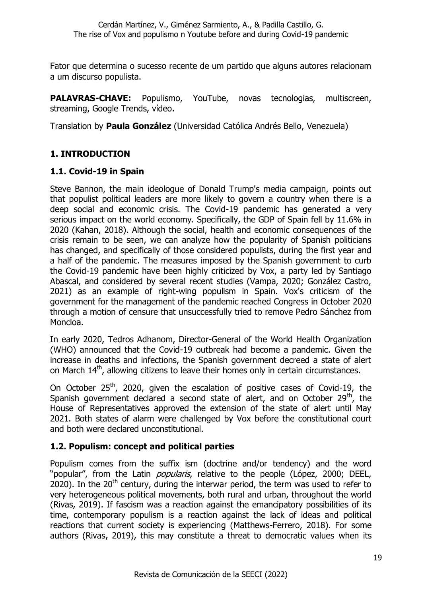Fator que determina o sucesso recente de um partido que alguns autores relacionam a um discurso populista.

**PALAVRAS-CHAVE:** Populismo, YouTube, novas tecnologias, multiscreen, streaming, Google Trends, vídeo.

Translation by **Paula González** (Universidad Católica Andrés Bello, Venezuela)

## **1. INTRODUCTION**

#### **1.1. Covid-19 in Spain**

Steve Bannon, the main ideologue of Donald Trump's media campaign, points out that populist political leaders are more likely to govern a country when there is a deep social and economic crisis. The Covid-19 pandemic has generated a very serious impact on the world economy. Specifically, the GDP of Spain fell by 11.6% in 2020 (Kahan, 2018). Although the social, health and economic consequences of the crisis remain to be seen, we can analyze how the popularity of Spanish politicians has changed, and specifically of those considered populists, during the first year and a half of the pandemic. The measures imposed by the Spanish government to curb the Covid-19 pandemic have been highly criticized by Vox, a party led by Santiago Abascal, and considered by several recent studies (Vampa, 2020; González Castro, 2021) as an example of right-wing populism in Spain. Vox's criticism of the government for the management of the pandemic reached Congress in October 2020 through a motion of censure that unsuccessfully tried to remove Pedro Sánchez from Moncloa.

In early 2020, Tedros Adhanom, Director-General of the World Health Organization (WHO) announced that the Covid-19 outbreak had become a pandemic. Given the increase in deaths and infections, the Spanish government decreed a state of alert on March  $14<sup>th</sup>$ , allowing citizens to leave their homes only in certain circumstances.

On October  $25<sup>th</sup>$ , 2020, given the escalation of positive cases of Covid-19, the Spanish government declared a second state of alert, and on October  $29<sup>th</sup>$ , the House of Representatives approved the extension of the state of alert until May 2021. Both states of alarm were challenged by Vox before the constitutional court and both were declared unconstitutional.

## **1.2. Populism: concept and political parties**

Populism comes from the suffix ism (doctrine and/or tendency) and the word "popular", from the Latin *popularis*, relative to the people (López, 2000; DEEL, 2020). In the  $20^{th}$  century, during the interwar period, the term was used to refer to very heterogeneous political movements, both rural and urban, throughout the world (Rivas, 2019). If fascism was a reaction against the emancipatory possibilities of its time, contemporary populism is a reaction against the lack of ideas and political reactions that current society is experiencing (Matthews-Ferrero, 2018). For some authors (Rivas, 2019), this may constitute a threat to democratic values when its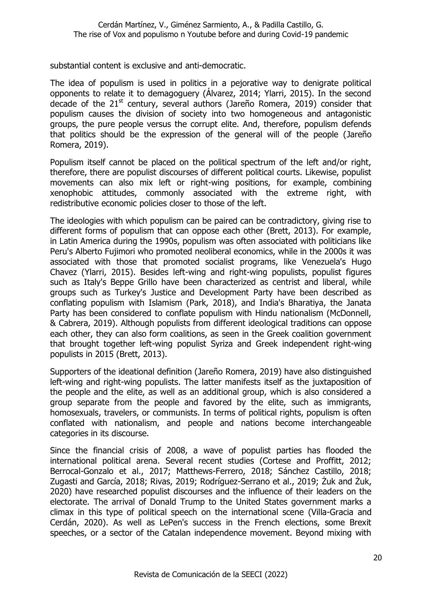substantial content is exclusive and anti-democratic.

The idea of populism is used in politics in a pejorative way to denigrate political opponents to relate it to demagoguery (Álvarez, 2014; Ylarri, 2015). In the second decade of the 21st century, several authors (Jareño Romera, 2019) consider that populism causes the division of society into two homogeneous and antagonistic groups, the pure people versus the corrupt elite. And, therefore, populism defends that politics should be the expression of the general will of the people (Jareño Romera, 2019).

Populism itself cannot be placed on the political spectrum of the left and/or right, therefore, there are populist discourses of different political courts. Likewise, populist movements can also mix left or right-wing positions, for example, combining xenophobic attitudes, commonly associated with the extreme right, with redistributive economic policies closer to those of the left.

The ideologies with which populism can be paired can be contradictory, giving rise to different forms of populism that can oppose each other (Brett, 2013). For example, in Latin America during the 1990s, populism was often associated with politicians like Peru's Alberto Fujimori who promoted neoliberal economics, while in the 2000s it was associated with those that promoted socialist programs, like Venezuela's Hugo Chavez (Ylarri, 2015). Besides left-wing and right-wing populists, populist figures such as Italy's Beppe Grillo have been characterized as centrist and liberal, while groups such as Turkey's Justice and Development Party have been described as conflating populism with Islamism (Park, 2018), and India's Bharatiya, the Janata Party has been considered to conflate populism with Hindu nationalism (McDonnell, & Cabrera, 2019). Although populists from different ideological traditions can oppose each other, they can also form coalitions, as seen in the Greek coalition government that brought together left-wing populist Syriza and Greek independent right-wing populists in 2015 (Brett, 2013).

Supporters of the ideational definition (Jareño Romera, 2019) have also distinguished left-wing and right-wing populists. The latter manifests itself as the juxtaposition of the people and the elite, as well as an additional group, which is also considered a group separate from the people and favored by the elite, such as immigrants, homosexuals, travelers, or communists. In terms of political rights, populism is often conflated with nationalism, and people and nations become interchangeable categories in its discourse.

Since the financial crisis of 2008, a wave of populist parties has flooded the international political arena. Several recent studies (Cortese and Proffitt, 2012; Berrocal-Gonzalo et al., 2017; Matthews-Ferrero, 2018; Sánchez Castillo, 2018; Zugasti and García, 2018; Rivas, 2019; Rodríguez-Serrano et al., 2019; Żuk and Żuk, 2020) have researched populist discourses and the influence of their leaders on the electorate. The arrival of Donald Trump to the United States government marks a climax in this type of political speech on the international scene (Villa-Gracia and Cerdán, 2020). As well as LePen's success in the French elections, some Brexit speeches, or a sector of the Catalan independence movement. Beyond mixing with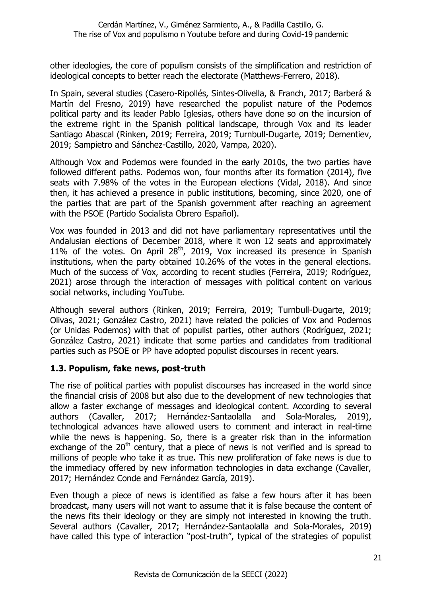other ideologies, the core of populism consists of the simplification and restriction of ideological concepts to better reach the electorate (Matthews-Ferrero, 2018).

In Spain, several studies (Casero-Ripollés, Sintes-Olivella, & Franch, 2017; Barberá & Martín del Fresno, 2019) have researched the populist nature of the Podemos political party and its leader Pablo Iglesias, others have done so on the incursion of the extreme right in the Spanish political landscape, through Vox and its leader Santiago Abascal (Rinken, 2019; Ferreira, 2019; Turnbull-Dugarte, 2019; Dementiev, 2019; Sampietro and Sánchez-Castillo, 2020, Vampa, 2020).

Although Vox and Podemos were founded in the early 2010s, the two parties have followed different paths. Podemos won, four months after its formation (2014), five seats with 7.98% of the votes in the European elections (Vidal, 2018). And since then, it has achieved a presence in public institutions, becoming, since 2020, one of the parties that are part of the Spanish government after reaching an agreement with the PSOE (Partido Socialista Obrero Español).

Vox was founded in 2013 and did not have parliamentary representatives until the Andalusian elections of December 2018, where it won 12 seats and approximately 11% of the votes. On April  $28<sup>th</sup>$ , 2019, Vox increased its presence in Spanish institutions, when the party obtained 10.26% of the votes in the general elections. Much of the success of Vox, according to recent studies (Ferreira, 2019; Rodríguez, 2021) arose through the interaction of messages with political content on various social networks, including YouTube.

Although several authors (Rinken, 2019; Ferreira, 2019; Turnbull-Dugarte, 2019; Olivas, 2021; González Castro, 2021) have related the policies of Vox and Podemos (or Unidas Podemos) with that of populist parties, other authors (Rodríguez, 2021; González Castro, 2021) indicate that some parties and candidates from traditional parties such as PSOE or PP have adopted populist discourses in recent years.

#### **1.3. Populism, fake news, post-truth**

The rise of political parties with populist discourses has increased in the world since the financial crisis of 2008 but also due to the development of new technologies that allow a faster exchange of messages and ideological content. According to several authors (Cavaller, 2017; Hernández-Santaolalla and Sola-Morales, 2019), technological advances have allowed users to comment and interact in real-time while the news is happening. So, there is a greater risk than in the information exchange of the  $20<sup>th</sup>$  century, that a piece of news is not verified and is spread to millions of people who take it as true. This new proliferation of fake news is due to the immediacy offered by new information technologies in data exchange (Cavaller, 2017; Hernández Conde and Fernández García, 2019).

Even though a piece of news is identified as false a few hours after it has been broadcast, many users will not want to assume that it is false because the content of the news fits their ideology or they are simply not interested in knowing the truth. Several authors (Cavaller, 2017; Hernández-Santaolalla and Sola-Morales, 2019) have called this type of interaction "post-truth", typical of the strategies of populist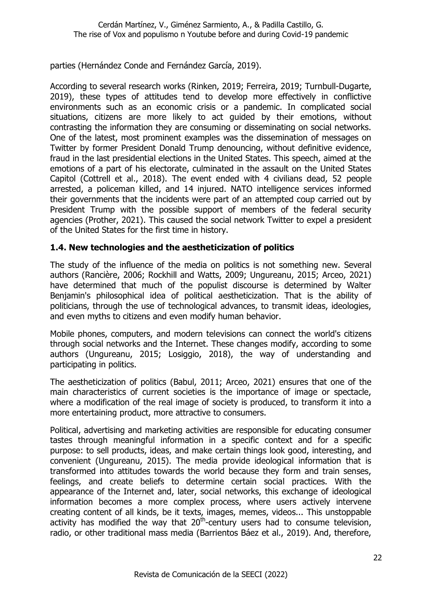parties (Hernández Conde and Fernández García, 2019).

According to several research works (Rinken, 2019; Ferreira, 2019; Turnbull-Dugarte, 2019), these types of attitudes tend to develop more effectively in conflictive environments such as an economic crisis or a pandemic. In complicated social situations, citizens are more likely to act guided by their emotions, without contrasting the information they are consuming or disseminating on social networks. One of the latest, most prominent examples was the dissemination of messages on Twitter by former President Donald Trump denouncing, without definitive evidence, fraud in the last presidential elections in the United States. This speech, aimed at the emotions of a part of his electorate, culminated in the assault on the United States Capitol (Cottrell et al., 2018). The event ended with 4 civilians dead, 52 people arrested, a policeman killed, and 14 injured. NATO intelligence services informed their governments that the incidents were part of an attempted coup carried out by President Trump with the possible support of members of the federal security agencies (Prother, 2021). This caused the social network Twitter to expel a president of the United States for the first time in history.

#### **1.4. New technologies and the aestheticization of politics**

The study of the influence of the media on politics is not something new. Several authors (Rancière, 2006; Rockhill and Watts, 2009; Ungureanu, 2015; Arceo, 2021) have determined that much of the populist discourse is determined by Walter Benjamin's philosophical idea of political aestheticization. That is the ability of politicians, through the use of technological advances, to transmit ideas, ideologies, and even myths to citizens and even modify human behavior.

Mobile phones, computers, and modern televisions can connect the world's citizens through social networks and the Internet. These changes modify, according to some authors (Ungureanu, 2015; Losiggio, 2018), the way of understanding and participating in politics.

The aestheticization of politics (Babul, 2011; Arceo, 2021) ensures that one of the main characteristics of current societies is the importance of image or spectacle, where a modification of the real image of society is produced, to transform it into a more entertaining product, more attractive to consumers.

Political, advertising and marketing activities are responsible for educating consumer tastes through meaningful information in a specific context and for a specific purpose: to sell products, ideas, and make certain things look good, interesting, and convenient (Ungureanu, 2015). The media provide ideological information that is transformed into attitudes towards the world because they form and train senses, feelings, and create beliefs to determine certain social practices. With the appearance of the Internet and, later, social networks, this exchange of ideological information becomes a more complex process, where users actively intervene creating content of all kinds, be it texts, images, memes, videos... This unstoppable activity has modified the way that  $20<sup>th</sup>$ -century users had to consume television, radio, or other traditional mass media (Barrientos Báez et al., 2019). And, therefore,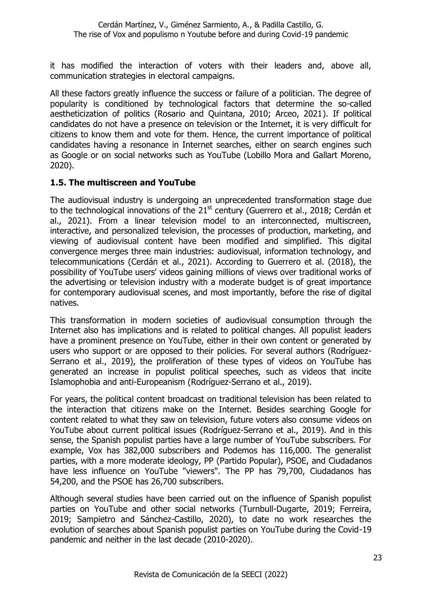it has modified the interaction of voters with their leaders and, above all, communication strategies in electoral campaigns.

All these factors greatly influence the success or failure of a politician. The degree of popularity is conditioned by technological factors that determine the so-called aestheticization of politics (Rosario and Quintana, 2010; Arceo, 2021). If political candidates do not have a presence on television or the Internet, it is very difficult for citizens to know them and vote for them. Hence, the current importance of political candidates having a resonance in Internet searches, either on search engines such as Google or on social networks such as YouTube (Lobillo Mora and Gallart Moreno, 2020).

## **1.5. The multiscreen and YouTube**

The audiovisual industry is undergoing an unprecedented transformation stage due to the technological innovations of the 21<sup>st</sup> century (Guerrero et al., 2018; Cerdán et al., 2021). From a linear television model to an interconnected, multiscreen, interactive, and personalized television, the processes of production, marketing, and viewing of audiovisual content have been modified and simplified. This digital convergence merges three main industries: audiovisual, information technology, and telecommunications (Cerdán et al., 2021). According to Guerrero et al. (2018), the possibility of YouTube users' videos gaining millions of views over traditional works of the advertising or television industry with a moderate budget is of great importance for contemporary audiovisual scenes, and most importantly, before the rise of digital natives.

This transformation in modern societies of audiovisual consumption through the Internet also has implications and is related to political changes. All populist leaders have a prominent presence on YouTube, either in their own content or generated by users who support or are opposed to their policies. For several authors (Rodríguez-Serrano et al., 2019), the proliferation of these types of videos on YouTube has generated an increase in populist political speeches, such as videos that incite Islamophobia and anti-Europeanism (Rodríguez-Serrano et al., 2019).

For years, the political content broadcast on traditional television has been related to the interaction that citizens make on the Internet. Besides searching Google for content related to what they saw on television, future voters also consume videos on YouTube about current political issues (Rodríguez-Serrano et al., 2019). And in this sense, the Spanish populist parties have a large number of YouTube subscribers. For example, Vox has 382,000 subscribers and Podemos has 116,000. The generalist parties, with a more moderate ideology, PP (Partido Popular), PSOE, and Ciudadanos have less influence on YouTube "viewers". The PP has 79,700, Ciudadanos has 54,200, and the PSOE has 26,700 subscribers.

Although several studies have been carried out on the influence of Spanish populist parties on YouTube and other social networks (Turnbull-Dugarte, 2019; Ferreira, 2019; Sampietro and Sánchez-Castillo, 2020), to date no work researches the evolution of searches about Spanish populist parties on YouTube during the Covid-19 pandemic and neither in the last decade (2010-2020).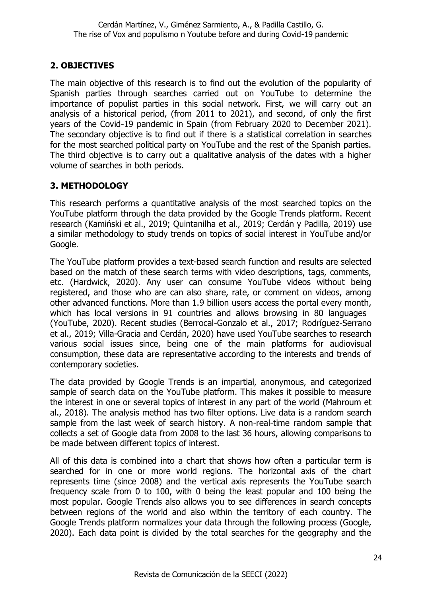## **2. OBJECTIVES**

The main objective of this research is to find out the evolution of the popularity of Spanish parties through searches carried out on YouTube to determine the importance of populist parties in this social network. First, we will carry out an analysis of a historical period, (from 2011 to 2021), and second, of only the first years of the Covid-19 pandemic in Spain (from February 2020 to December 2021). The secondary objective is to find out if there is a statistical correlation in searches for the most searched political party on YouTube and the rest of the Spanish parties. The third objective is to carry out a qualitative analysis of the dates with a higher volume of searches in both periods.

## **3. METHODOLOGY**

This research performs a quantitative analysis of the most searched topics on the YouTube platform through the data provided by the Google Trends platform. Recent research (Kamiński et al., 2019; Quintanilha et al., 2019; Cerdán y Padilla, 2019) use a similar methodology to study trends on topics of social interest in YouTube and/or Google.

The YouTube platform provides a text-based search function and results are selected based on the match of these search terms with video descriptions, tags, comments, etc. (Hardwick, 2020). Any user can consume YouTube videos without being registered, and those who are can also share, rate, or comment on videos, among other advanced functions. More than 1.9 billion users access the portal every month, which has local versions in 91 countries and allows browsing in 80 languages (YouTube, 2020). Recent studies (Berrocal-Gonzalo et al., 2017; Rodríguez-Serrano et al., 2019; Villa-Gracia and Cerdán, 2020) have used YouTube searches to research various social issues since, being one of the main platforms for audiovisual consumption, these data are representative according to the interests and trends of contemporary societies.

The data provided by Google Trends is an impartial, anonymous, and categorized sample of search data on the YouTube platform. This makes it possible to measure the interest in one or several topics of interest in any part of the world (Mahroum et al., 2018). The analysis method has two filter options. Live data is a random search sample from the last week of search history. A non-real-time random sample that collects a set of Google data from 2008 to the last 36 hours, allowing comparisons to be made between different topics of interest.

All of this data is combined into a chart that shows how often a particular term is searched for in one or more world regions. The horizontal axis of the chart represents time (since 2008) and the vertical axis represents the YouTube search frequency scale from 0 to 100, with 0 being the least popular and 100 being the most popular. Google Trends also allows you to see differences in search concepts between regions of the world and also within the territory of each country. The Google Trends platform normalizes your data through the following process (Google, 2020). Each data point is divided by the total searches for the geography and the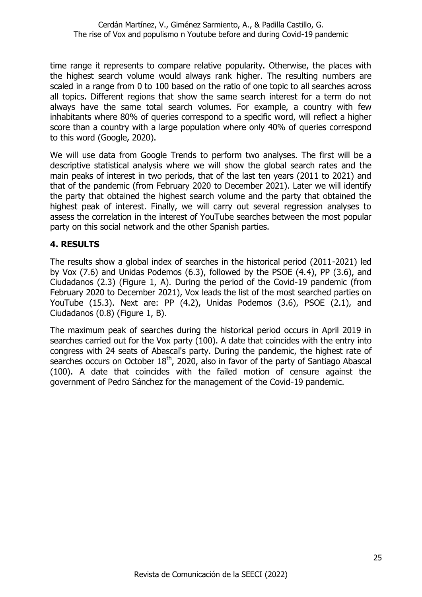time range it represents to compare relative popularity. Otherwise, the places with the highest search volume would always rank higher. The resulting numbers are scaled in a range from 0 to 100 based on the ratio of one topic to all searches across all topics. Different regions that show the same search interest for a term do not always have the same total search volumes. For example, a country with few inhabitants where 80% of queries correspond to a specific word, will reflect a higher score than a country with a large population where only 40% of queries correspond to this word (Google, 2020).

We will use data from Google Trends to perform two analyses. The first will be a descriptive statistical analysis where we will show the global search rates and the main peaks of interest in two periods, that of the last ten years (2011 to 2021) and that of the pandemic (from February 2020 to December 2021). Later we will identify the party that obtained the highest search volume and the party that obtained the highest peak of interest. Finally, we will carry out several regression analyses to assess the correlation in the interest of YouTube searches between the most popular party on this social network and the other Spanish parties.

#### **4. RESULTS**

The results show a global index of searches in the historical period (2011-2021) led by Vox (7.6) and Unidas Podemos (6.3), followed by the PSOE (4.4), PP (3.6), and Ciudadanos (2.3) (Figure 1, A). During the period of the Covid-19 pandemic (from February 2020 to December 2021), Vox leads the list of the most searched parties on YouTube (15.3). Next are: PP (4.2), Unidas Podemos (3.6), PSOE (2.1), and Ciudadanos (0.8) (Figure 1, B).

The maximum peak of searches during the historical period occurs in April 2019 in searches carried out for the Vox party (100). A date that coincides with the entry into congress with 24 seats of Abascal's party. During the pandemic, the highest rate of searches occurs on October 18<sup>th</sup>, 2020, also in favor of the party of Santiago Abascal (100). A date that coincides with the failed motion of censure against the government of Pedro Sánchez for the management of the Covid-19 pandemic.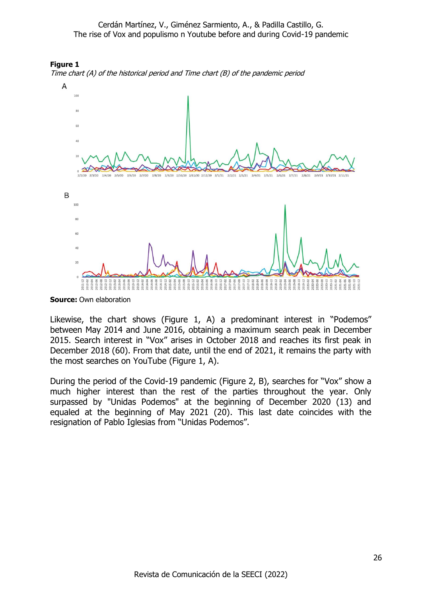





**Source: Own elaboration** 

Likewise, the chart shows (Figure 1, A) a predominant interest in "Podemos" between May 2014 and June 2016, obtaining a maximum search peak in December 2015. Search interest in "Vox" arises in October 2018 and reaches its first peak in December 2018 (60). From that date, until the end of 2021, it remains the party with the most searches on YouTube (Figure 1, A).

During the period of the Covid-19 pandemic (Figure 2, B), searches for "Vox" show a much higher interest than the rest of the parties throughout the year. Only surpassed by "Unidas Podemos" at the beginning of December 2020 (13) and equaled at the beginning of May 2021 (20). This last date coincides with the resignation of Pablo Iglesias from "Unidas Podemos".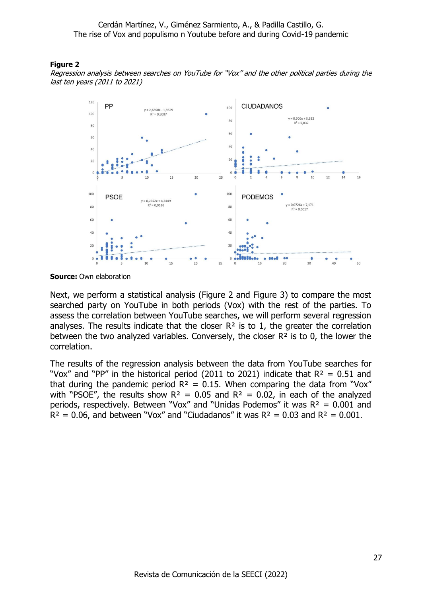#### **Figure 2**

Regression analysis between searches on YouTube for "Vox" and the other political parties during the last ten years (2011 to 2021)



**Source:** Own elaboration

Next, we perform a statistical analysis (Figure 2 and Figure 3) to compare the most searched party on YouTube in both periods (Vox) with the rest of the parties. To assess the correlation between YouTube searches, we will perform several regression analyses. The results indicate that the closer  $R<sup>2</sup>$  is to 1, the greater the correlation between the two analyzed variables. Conversely, the closer R² is to 0, the lower the correlation.

The results of the regression analysis between the data from YouTube searches for "Vox" and "PP" in the historical period (2011 to 2021) indicate that  $R^2 = 0.51$  and that during the pandemic period  $R^2 = 0.15$ . When comparing the data from "Vox" with "PSOE", the results show  $R^2 = 0.05$  and  $R^2 = 0.02$ , in each of the analyzed periods, respectively. Between "Vox" and "Unidas Podemos" it was  $R^2 = 0.001$  and  $R^2 = 0.06$ , and between "Vox" and "Ciudadanos" it was  $R^2 = 0.03$  and  $R^2 = 0.001$ .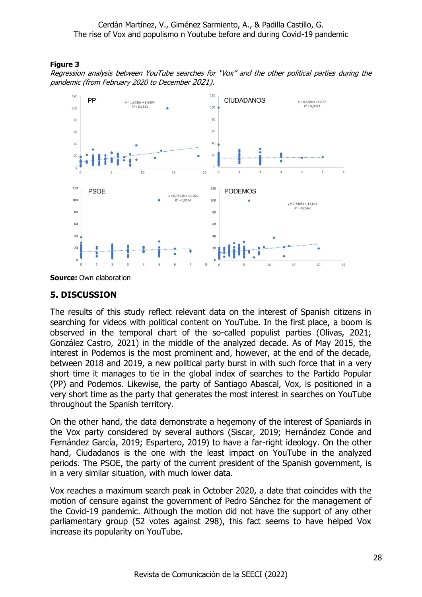#### **Figure 3**

Regression analysis between YouTube searches for "Vox" and the other political parties during the pandemic (from February 2020 to December 2021).



# **5. DISCUSSION**

The results of this study reflect relevant data on the interest of Spanish citizens in searching for videos with political content on YouTube. In the first place, a boom is observed in the temporal chart of the so-called populist parties (Olivas, 2021; González Castro, 2021) in the middle of the analyzed decade. As of May 2015, the interest in Podemos is the most prominent and, however, at the end of the decade, between 2018 and 2019, a new political party burst in with such force that in a very short time it manages to tie in the global index of searches to the Partido Popular (PP) and Podemos. Likewise, the party of Santiago Abascal, Vox, is positioned in a very short time as the party that generates the most interest in searches on YouTube throughout the Spanish territory.

On the other hand, the data demonstrate a hegemony of the interest of Spaniards in the Vox party considered by several authors (Siscar, 2019; Hernández Conde and Fernández García, 2019; Espartero, 2019) to have a far-right ideology. On the other hand, Ciudadanos is the one with the least impact on YouTube in the analyzed periods. The PSOE, the party of the current president of the Spanish government, is in a very similar situation, with much lower data.

Vox reaches a maximum search peak in October 2020, a date that coincides with the motion of censure against the government of Pedro Sánchez for the management of the Covid-19 pandemic. Although the motion did not have the support of any other parliamentary group (52 votes against 298), this fact seems to have helped Vox increase its popularity on YouTube.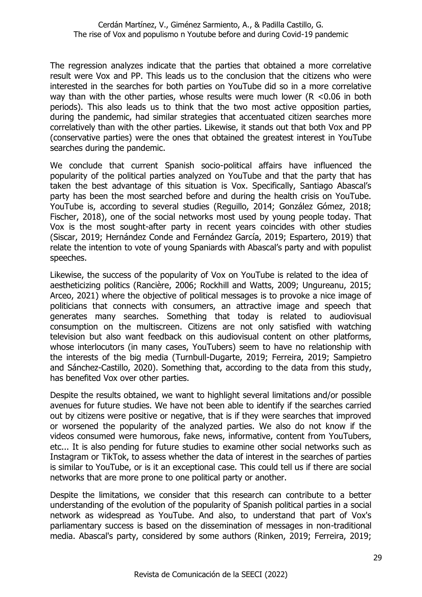The regression analyzes indicate that the parties that obtained a more correlative result were Vox and PP. This leads us to the conclusion that the citizens who were interested in the searches for both parties on YouTube did so in a more correlative way than with the other parties, whose results were much lower (R <0.06 in both periods). This also leads us to think that the two most active opposition parties, during the pandemic, had similar strategies that accentuated citizen searches more correlatively than with the other parties. Likewise, it stands out that both Vox and PP (conservative parties) were the ones that obtained the greatest interest in YouTube searches during the pandemic.

We conclude that current Spanish socio-political affairs have influenced the popularity of the political parties analyzed on YouTube and that the party that has taken the best advantage of this situation is Vox. Specifically, Santiago Abascal's party has been the most searched before and during the health crisis on YouTube. YouTube is, according to several studies (Reguillo, 2014; González Gómez, 2018; Fischer, 2018), one of the social networks most used by young people today. That Vox is the most sought-after party in recent years coincides with other studies (Siscar, 2019; Hernández Conde and Fernández García, 2019; Espartero, 2019) that relate the intention to vote of young Spaniards with Abascal's party and with populist speeches.

Likewise, the success of the popularity of Vox on YouTube is related to the idea of aestheticizing politics (Rancière, 2006; Rockhill and Watts, 2009; Ungureanu, 2015; Arceo, 2021) where the objective of political messages is to provoke a nice image of politicians that connects with consumers, an attractive image and speech that generates many searches. Something that today is related to audiovisual consumption on the multiscreen. Citizens are not only satisfied with watching television but also want feedback on this audiovisual content on other platforms, whose interlocutors (in many cases, YouTubers) seem to have no relationship with the interests of the big media (Turnbull-Dugarte, 2019; Ferreira, 2019; Sampietro and Sánchez-Castillo, 2020). Something that, according to the data from this study, has benefited Vox over other parties.

Despite the results obtained, we want to highlight several limitations and/or possible avenues for future studies. We have not been able to identify if the searches carried out by citizens were positive or negative, that is if they were searches that improved or worsened the popularity of the analyzed parties. We also do not know if the videos consumed were humorous, fake news, informative, content from YouTubers, etc... It is also pending for future studies to examine other social networks such as Instagram or TikTok, to assess whether the data of interest in the searches of parties is similar to YouTube, or is it an exceptional case. This could tell us if there are social networks that are more prone to one political party or another.

Despite the limitations, we consider that this research can contribute to a better understanding of the evolution of the popularity of Spanish political parties in a social network as widespread as YouTube. And also, to understand that part of Vox's parliamentary success is based on the dissemination of messages in non-traditional media. Abascal's party, considered by some authors (Rinken, 2019; Ferreira, 2019;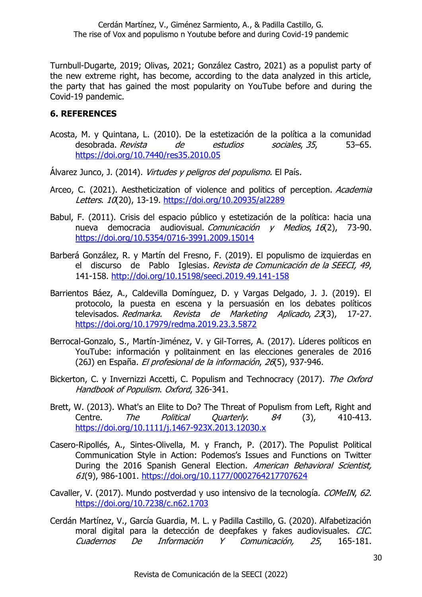Turnbull-Dugarte, 2019; Olivas, 2021; González Castro, 2021) as a populist party of the new extreme right, has become, according to the data analyzed in this article, the party that has gained the most popularity on YouTube before and during the Covid-19 pandemic.

#### **6. REFERENCES**

- Acosta, M. y Quintana, L. (2010). De la estetización de la política a la comunidad desobrada. Revista de estudios sociales, 35, 53–65. <https://doi.org/10.7440/res35.2010.05>
- Álvarez Junco, J. (2014). Virtudes y peligros del populismo. El País.
- Arceo, C. (2021). Aestheticization of violence and politics of perception. Academia Letters. 10(20), 13-19.<https://doi.org/10.20935/al2289>
- Babul, F. (2011). Crisis del espacio público y estetización de la política: hacia una nueva democracia audiovisual. Comunicación y Medios, 16(2), 73-90. <https://doi.org/10.5354/0716-3991.2009.15014>
- Barberá González, R. y Martín del Fresno, F. (2019). El populismo de izquierdas en el discurso de Pablo Iglesias. Revista de Comunicación de la SEECI, 49, 141-158.<http://doi.org/10.15198/seeci.2019.49.141-158>
- Barrientos Báez, A., Caldevilla Domínguez, D. y Vargas Delgado, J. J. (2019). El protocolo, la puesta en escena y la persuasión en los debates políticos televisados. Redmarka. Revista de Marketing Aplicado, 23(3), 17-27. <https://doi.org/10.17979/redma.2019.23.3.5872>
- Berrocal-Gonzalo, S., Martín-Jiménez, V. y Gil-Torres, A. (2017). Líderes políticos en YouTube: información y politainment en las elecciones generales de 2016 (26J) en España. El profesional de la información, 26(5), 937-946.
- Bickerton, C. y Invernizzi Accetti, C. Populism and Technocracy (2017). The Oxford Handbook of Populism. Oxford, 326-341.
- Brett, W. (2013). What's an Elite to Do? The Threat of Populism from Left, Right and Centre. The Political Quarterly. 84 (3), 410-413. <https://doi.org/10.1111/j.1467-923X.2013.12030.x>
- Casero-Ripollés, A., Sintes-Olivella, M. y Franch, P. (2017). The Populist Political Communication Style in Action: Podemos's Issues and Functions on Twitter During the 2016 Spanish General Election. American Behavioral Scientist, 61(9), 986-1001.<https://doi.org/10.1177/0002764217707624>
- Cavaller, V. (2017). Mundo postverdad y uso intensivo de la tecnología. COMeIN, 62. <https://doi.org/10.7238/c.n62.1703>
- Cerdán Martínez, V., García Guardia, M. L. y Padilla Castillo, G. (2020). Alfabetización moral digital para la detección de deepfakes y fakes audiovisuales. CIC. Cuadernos De Información Y Comunicación, 25, 165-181.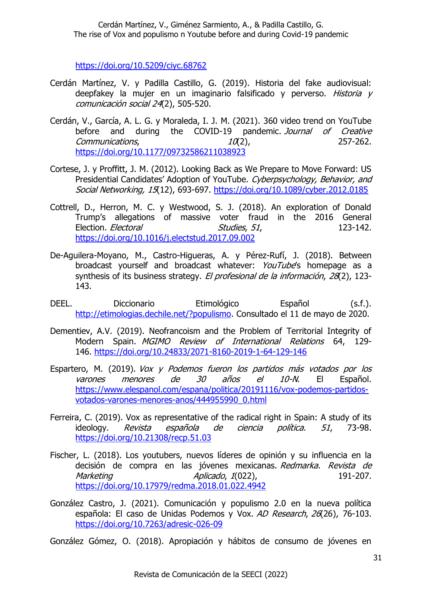<https://doi.org/10.5209/ciyc.68762>

- Cerdán Martínez, V. y Padilla Castillo, G. (2019). Historia del fake audiovisual: deepfakey la mujer en un imaginario falsificado y perverso. Historia y comunicación social 24(2), 505-520.
- Cerdán, V., García, A. L. G. y Moraleda, I. J. M. (2021). 360 video trend on YouTube before and during the COVID-19 pandemic. Journal of Creative  $Commonications,$   $10(2),$  257-262. <https://doi.org/10.1177/09732586211038923>
- Cortese, J. y Proffitt, J. M. (2012). Looking Back as We Prepare to Move Forward: US Presidential Candidates' Adoption of YouTube. Cyberpsychology, Behavior, and Social Networking, 15(12), 693-697.<https://doi.org/10.1089/cyber.2012.0185>
- Cottrell, D., Herron, M. C. y Westwood, S. J. (2018). An exploration of Donald Trump's allegations of massive voter fraud in the 2016 General Election. *Electoral* Studies, 51, 123-142. <https://doi.org/10.1016/j.electstud.2017.09.002>
- De-Aguilera-Moyano, M., Castro-Higueras, A. y Pérez-Rufí, J. (2018). Between broadcast yourself and broadcast whatever: YouTube's homepage as a synthesis of its business strategy. El profesional de la información, 28(2), 123-143.
- DEEL. Diccionario Etimológico Español (s.f.). [http://etimologias.dechile.net/?populismo.](http://etimologias.dechile.net/?populismo) Consultado el 11 de mayo de 2020.
- Dementiev, A.V. (2019). Neofrancoism and the Problem of Territorial Integrity of Modern Spain. MGIMO Review of International Relations 64, 129- 146. <https://doi.org/10.24833/2071-8160-2019-1-64-129-146>
- Espartero, M. (2019). Vox y Podemos fueron los partidos más votados por los varones menores de 30 años el 10-N. El Español. [https://www.elespanol.com/espana/politica/20191116/vox-podemos-partidos](https://www.elespanol.com/espana/politica/20191116/vox-podemos-partidos-votados-varones-menores-anos/444955990_0.html)[votados-varones-menores-anos/444955990\\_0.html](https://www.elespanol.com/espana/politica/20191116/vox-podemos-partidos-votados-varones-menores-anos/444955990_0.html)
- Ferreira, C. (2019). Vox as representative of the radical right in Spain: A study of its ideology. Revista española de ciencia política. 51, 73-98. <https://doi.org/10.21308/recp.51.03>
- Fischer, L. (2018). Los youtubers, nuevos líderes de opinión y su influencia en la decisión de compra en las jóvenes mexicanas. Redmarka. Revista de Marketing Aplicado, 1(022), 191-207. <https://doi.org/10.17979/redma.2018.01.022.4942>
- González Castro, J. (2021). Comunicación y populismo 2.0 en la nueva política española: El caso de Unidas Podemos y Vox. AD Research, 26(26), 76-103. <https://doi.org/10.7263/adresic-026-09>
- González Gómez, O. (2018). Apropiación y hábitos de consumo de jóvenes en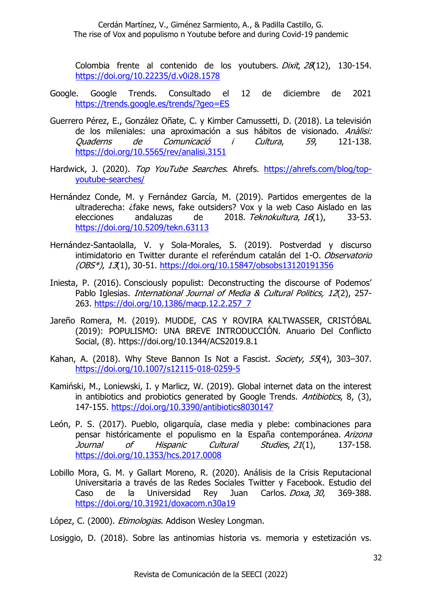Colombia frente al contenido de los youtubers. Dixit, 28(12), 130-154. <https://doi.org/10.22235/d.v0i28.1578>

- Google. Google Trends. Consultado el 12 de diciembre de 2021 <https://trends.google.es/trends/?geo=ES>
- Guerrero Pérez, E., González Oñate, C. y Kimber Camussetti, D. (2018). La televisión de los mileniales: una aproximación a sus hábitos de visionado. Anàlisi: Quaderns de Comunicació i Cultura, 59, 121-138. <https://doi.org/10.5565/rev/analisi.3151>
- Hardwick, J. (2020). Top YouTube Searches. Ahrefs. [https://ahrefs.com/blog/top](https://ahrefs.com/blog/top-youtube-searches/)[youtube-searches/](https://ahrefs.com/blog/top-youtube-searches/)
- Hernández Conde, M. y Fernández García, M. (2019). Partidos emergentes de la ultraderecha: ¿fake news, fake outsiders? Vox y la web Caso Aislado en las elecciones andaluzas de 2018. Teknokultura, 16(1), 33-53. <https://doi.org/10.5209/tekn.63113>
- Hernández-Santaolalla, V. y Sola-Morales, S. (2019). Postverdad y discurso intimidatorio en Twitter durante el referéndum catalán del 1-O. Observatorio (OBS\*), 13(1), 30-51.<https://doi.org/10.15847/obsobs13120191356>
- Iniesta, P. (2016). Consciously populist: Deconstructing the discourse of Podemos' Pablo Iglesias. *International Journal of Media & Cultural Politics, 12*(2), 257-263. [https://doi.org/10.1386/macp.12.2.257\\_7](https://doi.org/10.1386/macp.12.2.257_7)
- Jareño Romera, M. (2019). MUDDE, CAS Y ROVIRA KALTWASSER, CRISTÓBAL (2019): POPULISMO: UNA BREVE INTRODUCCIÓN. Anuario Del Conflicto Social, (8). https://doi.org/10.1344/ACS2019.8.1
- Kahan, A. (2018). Why Steve Bannon Is Not a Fascist. Society, 55(4), 303-307. <https://doi.org/10.1007/s12115-018-0259-5>
- Kamiński, M., Loniewski, I. y Marlicz, W. (2019). Global internet data on the interest in antibiotics and probiotics generated by Google Trends. Antibiotics, 8, (3), 147-155.<https://doi.org/10.3390/antibiotics8030147>
- León, P. S. (2017). Pueblo, oligarquía, clase media y plebe: combinaciones para pensar históricamente el populismo en la España contemporánea. Arizona Journal of Hispanic Cultural Studies, 21(1), 137-158. <https://doi.org/10.1353/hcs.2017.0008>
- Lobillo Mora, G. M. y Gallart Moreno, R. (2020). Análisis de la Crisis Reputacional Universitaria a través de las Redes Sociales Twitter y Facebook. Estudio del Caso de la Universidad Rey Juan Carlos. Doxa, 30, 369-388. <https://doi.org/10.31921/doxacom.n30a19>
- López, C. (2000). *Etimologias*. Addison Wesley Longman.

Losiggio, D. (2018). Sobre las antinomias historia vs. memoria y estetización vs.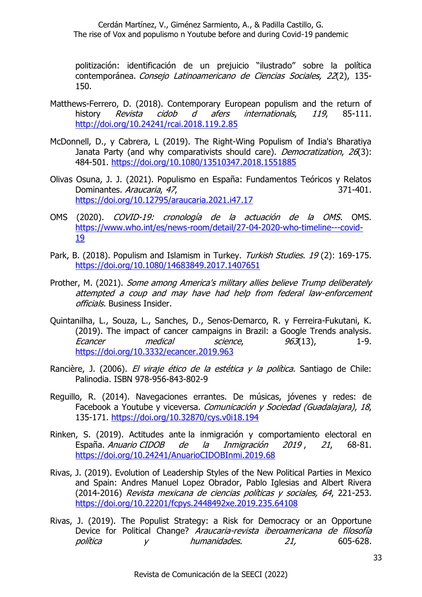politización: identificación de un prejuicio "ilustrado" sobre la política contemporánea. Consejo Latinoamericano de Ciencias Sociales, 22(2), 135- 150.

- Matthews-Ferrero, D. (2018). Contemporary European populism and the return of history *Revista cidob d afers internationals*, 119, 85-111. <http://doi.org/10.24241/rcai.2018.119.2.85>
- McDonnell, D., y Cabrera, L (2019). The Right-Wing Populism of India's Bharatiya Janata Party (and why comparativists should care). *Democratization. 26*(3): 484-501.<https://doi.org/10.1080/13510347.2018.1551885>
- Olivas Osuna, J. J. (2021). Populismo en España: Fundamentos Teóricos y Relatos Dominantes. Araucaria, 47, 371-401. <https://doi.org/10.12795/araucaria.2021.i47.17>
- OMS (2020). COVID-19: cronología de la actuación de la OMS. OMS. [https://www.who.int/es/news-room/detail/27-04-2020-who-timeline---covid-](https://www.who.int/es/news-room/detail/27-04-2020-who-timeline---covid-19)[19](https://www.who.int/es/news-room/detail/27-04-2020-who-timeline---covid-19)
- Park, B. (2018). Populism and Islamism in Turkey. Turkish Studies. 19(2): 169-175. <https://doi.org/10.1080/14683849.2017.1407651>
- Prother, M. (2021). Some among America's military allies believe Trump deliberately attempted a coup and may have had help from federal law-enforcement officials. Business Insider.
- Quintanilha, L., Souza, L., Sanches, D., Senos-Demarco, R. y Ferreira-Fukutani, K. (2019). The impact of cancer campaigns in Brazil: a Google Trends analysis. Ecancer medical science, 963(13), 1-9. <https://doi.org/10.3332/ecancer.2019.963>
- Rancière, J. (2006). El viraje ético de la estética y la política. Santiago de Chile: Palinodia. ISBN 978-956-843-802-9
- Reguillo, R. (2014). Navegaciones errantes. De músicas, jóvenes y redes: de Facebook a Youtube y viceversa. Comunicación y Sociedad (Guadalajara), 18, 135-171.<https://doi.org/10.32870/cys.v0i18.194>
- Rinken, S. (2019). Actitudes ante la inmigración y comportamiento electoral en España. Anuario CIDOB de la Inmigración 2019 , 21, 68-81. <https://doi.org/10.24241/AnuarioCIDOBInmi.2019.68>
- Rivas, J. (2019). Evolution of Leadership Styles of the New Political Parties in Mexico and Spain: Andres Manuel Lopez Obrador, Pablo Iglesias and Albert Rivera (2014-2016) Revista mexicana de ciencias políticas y sociales, 64, 221-253. <https://doi.org/10.22201/fcpys.2448492xe.2019.235.64108>
- Rivas, J. (2019). The Populist Strategy: a Risk for Democracy or an Opportune Device for Political Change? Araucaria-revista iberoamericana de filosofía política  $\gamma$  humanidades. 21, 605-628.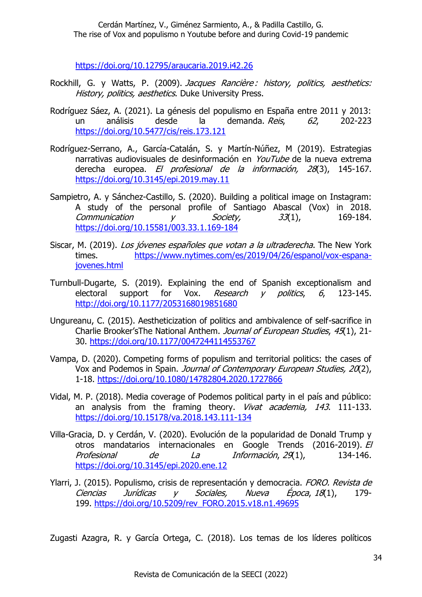<https://doi.org/10.12795/araucaria.2019.i42.26>

- Rockhill, G. y Watts, P. (2009). Jacques Rancière : history, politics, aesthetics: History, politics, aesthetics. Duke University Press.
- Rodríguez Sáez, A. (2021). La génesis del populismo en España entre 2011 y 2013: un análisis desde la demanda. Reis, 62, 202-223 <https://doi.org/10.5477/cis/reis.173.121>
- Rodríguez-Serrano, A., García-Catalán, S. y Martín-Núñez, M (2019). Estrategias narrativas audiovisuales de desinformación en YouTube de la nueva extrema derecha europea. El profesional de la información, 28(3), 145-167. <https://doi.org/10.3145/epi.2019.may.11>
- Sampietro, A. y Sánchez-Castillo, S. (2020). Building a political image on Instagram: A study of the personal profile of Santiago Abascal (Vox) in 2018.  $Commonization$  y  $Society,$  33(1), 169-184. <https://doi.org/10.15581/003.33.1.169-184>
- Siscar, M. (2019). Los jóvenes españoles que votan a la ultraderecha. The New York times. [https://www.nytimes.com/es/2019/04/26/espanol/vox-espana](https://www.nytimes.com/es/2019/04/26/espanol/vox-espana-jovenes.html)[jovenes.html](https://www.nytimes.com/es/2019/04/26/espanol/vox-espana-jovenes.html)
- Turnbull-Dugarte, S. (2019). Explaining the end of Spanish exceptionalism and electoral support for Vox. Research v politics, 6, 123-145. <http://doi.org/10.1177/2053168019851680>
- Ungureanu, C. (2015). Aestheticization of politics and ambivalence of self-sacrifice in Charlie Brooker'sThe National Anthem. Journal of European Studies, 45(1), 21-30.<https://doi.org/10.1177/0047244114553767>
- Vampa, D. (2020). Competing forms of populism and territorial politics: the cases of Vox and Podemos in Spain. Journal of Contemporary European Studies, 20(2), 1-18. <https://doi.org/10.1080/14782804.2020.1727866>
- Vidal, M. P. (2018). Media coverage of Podemos political party in el país and público: an analysis from the framing theory. *Vivat academia, 143*. 111-133. <https://doi.org/10.15178/va.2018.143.111-134>
- Villa-Gracia, D. y Cerdán, V. (2020). Evolución de la popularidad de Donald Trump y otros mandatarios internacionales en Google Trends (2016-2019). El Profesional de La Información, 29(1), 134-146. <https://doi.org/10.3145/epi.2020.ene.12>
- Ylarri, J. (2015). Populismo, crisis de representación y democracia. FORO. Revista de Ciencias Jurídicas y Sociales, Nueva Época, <sup>18</sup>(1), 179- 199. [https://doi.org/10.5209/rev\\_FORO.2015.v18.n1.49695](https://doi.org/10.5209/rev_FORO.2015.v18.n1.49695)

Zugasti Azagra, R. y García Ortega, C. (2018). Los temas de los líderes políticos